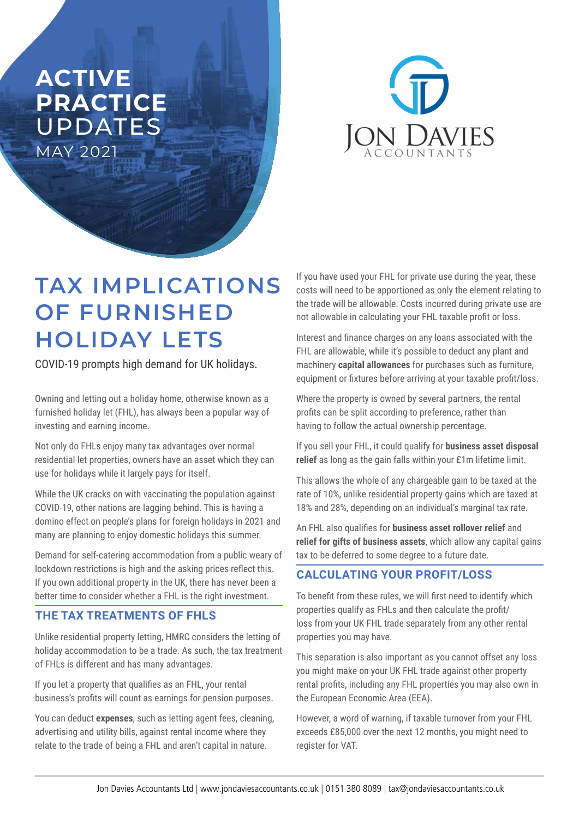# **ACTIVE PRACTICE**  UPDATES MAY 2021



# **TAX IMPLICATIONS OF FURNISHED HOLIDAY LETS**

COVID-19 prompts high demand for UK holidays.

Owning and letting out a holiday home, otherwise known as a furnished holiday let (FHL), has always been a popular way of investing and earning income.

Not only do FHLs enjoy many tax advantages over normal residential let properties, owners have an asset which they can use for holidays while it largely pays for itself.

While the UK cracks on with vaccinating the population against COVID-19, other nations are lagging behind. This is having a domino effect on people's plans for foreign holidays in 2021 and many are planning to enjoy domestic holidays this summer.

Demand for self-catering accommodation from a public weary of lockdown restrictions is high and the asking prices reflect this. If you own additional property in the UK, there has never been a better time to consider whether a FHL is the right investment.

## **THE TAX TREATMENTS OF FHLS**

Unlike residential property letting, HMRC considers the letting of holiday accommodation to be a trade. As such, the tax treatment of FHLs is different and has many advantages.

If you let a property that qualifies as an FHL, your rental business's profits will count as earnings for pension purposes.

You can deduct **expenses**, such as letting agent fees, cleaning, advertising and utility bills, against rental income where they relate to the trade of being a FHL and aren't capital in nature.

If you have used your FHL for private use during the year, these costs will need to be apportioned as only the element relating to the trade will be allowable. Costs incurred during private use are not allowable in calculating your FHL taxable profit or loss.

Interest and finance charges on any loans associated with the FHL are allowable, while it's possible to deduct any plant and machinery **capital allowances** for purchases such as furniture, equipment or fixtures before arriving at your taxable profit/loss.

Where the property is owned by several partners, the rental profits can be split according to preference, rather than having to follow the actual ownership percentage.

If you sell your FHL, it could qualify for **business asset disposal relief** as long as the gain falls within your £1m lifetime limit.

This allows the whole of any chargeable gain to be taxed at the rate of 10%, unlike residential property gains which are taxed at 18% and 28%, depending on an individual's marginal tax rate.

An FHL also qualifies for **business asset rollover relief** and **relief for gifts of business assets**, which allow any capital gains tax to be deferred to some degree to a future date.

## **CALCULATING YOUR PROFIT/LOSS**

To benefit from these rules, we will first need to identify which properties qualify as FHLs and then calculate the profit/ loss from your UK FHL trade separately from any other rental properties you may have.

This separation is also important as you cannot offset any loss you might make on your UK FHL trade against other property rental profits, including any FHL properties you may also own in the European Economic Area (EEA).

However, a word of warning, if taxable turnover from your FHL exceeds £85,000 over the next 12 months, you might need to register for VAT.